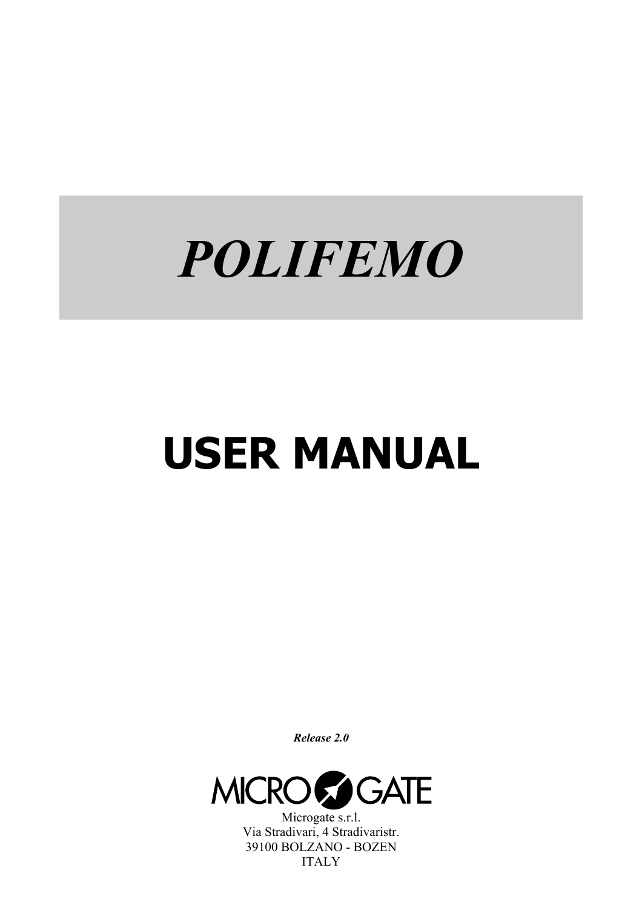# *POLIFEMO*

# **USER MANUAL**

*Release 2.0* 



Microgate s.r.l. Via Stradivari, 4 Stradivaristr. 39100 BOLZANO - BOZEN ITALY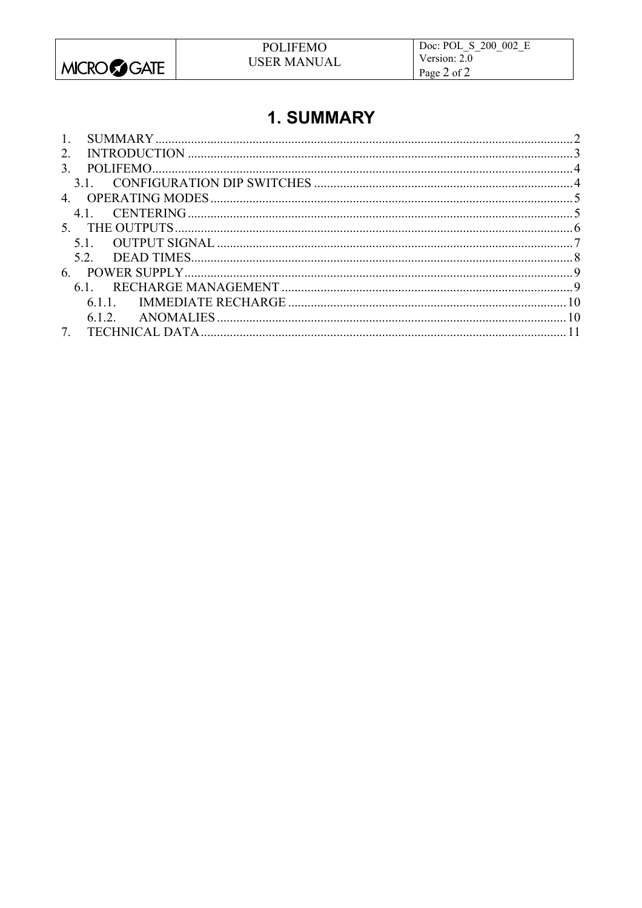

# 1. SUMMARY

| $\mathbf{1}$ . |  |
|----------------|--|
| $2^{\circ}$    |  |
| 3              |  |
|                |  |
| 4              |  |
| 41             |  |
|                |  |
| 51             |  |
| 52             |  |
| 6              |  |
| 61             |  |
|                |  |
|                |  |
|                |  |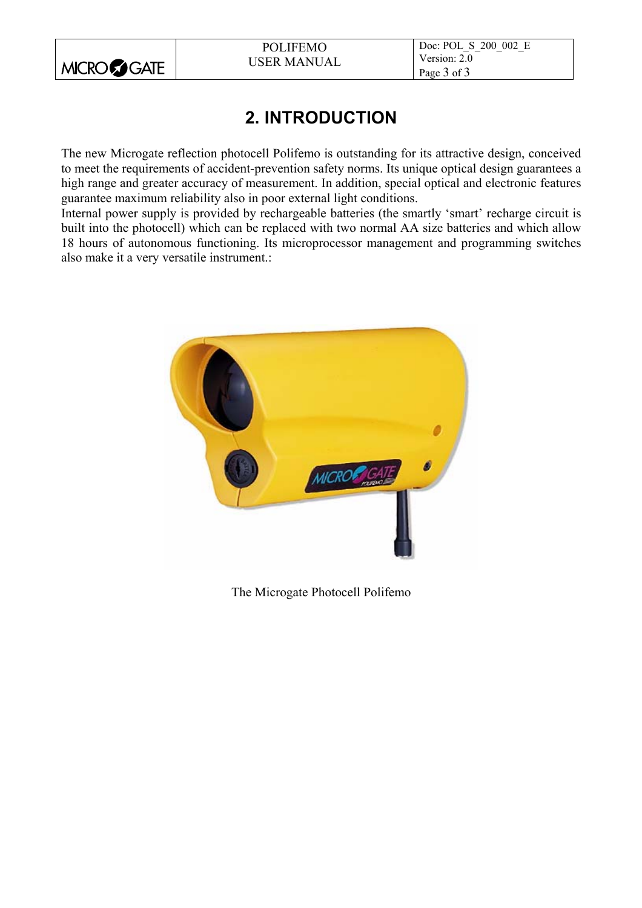

# **2. INTRODUCTION**

The new Microgate reflection photocell Polifemo is outstanding for its attractive design, conceived to meet the requirements of accident-prevention safety norms. Its unique optical design guarantees a high range and greater accuracy of measurement. In addition, special optical and electronic features guarantee maximum reliability also in poor external light conditions.

Internal power supply is provided by rechargeable batteries (the smartly 'smart' recharge circuit is built into the photocell) which can be replaced with two normal AA size batteries and which allow 18 hours of autonomous functioning. Its microprocessor management and programming switches also make it a very versatile instrument.:



The Microgate Photocell Polifemo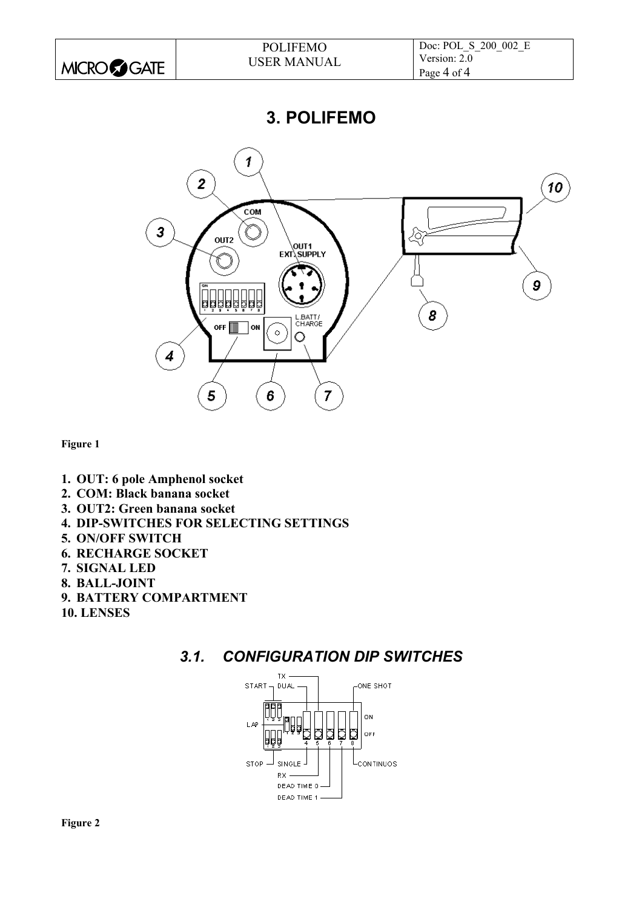|                      | <b>POLIFEMO</b>    | Doc: POL S 200 002 E |
|----------------------|--------------------|----------------------|
|                      | <b>USER MANUAL</b> | Version: 2.0         |
| <b>MICRO</b> SSIGATE |                    | Page 4 of 4          |

**3. POLIFEMO** 



**Figure 1** 

- **1. OUT: 6 pole Amphenol socket**
- **2. COM: Black banana socket**
- **3. OUT2: Green banana socket**
- **4. DIP-SWITCHES FOR SELECTING SETTINGS**
- **5. ON/OFF SWITCH**
- **6. RECHARGE SOCKET**
- **7. SIGNAL LED**
- **8. BALL-JOINT**
- **9. BATTERY COMPARTMENT**
- **10. LENSES**

## *3.1. CONFIGURATION DIP SWITCHES*

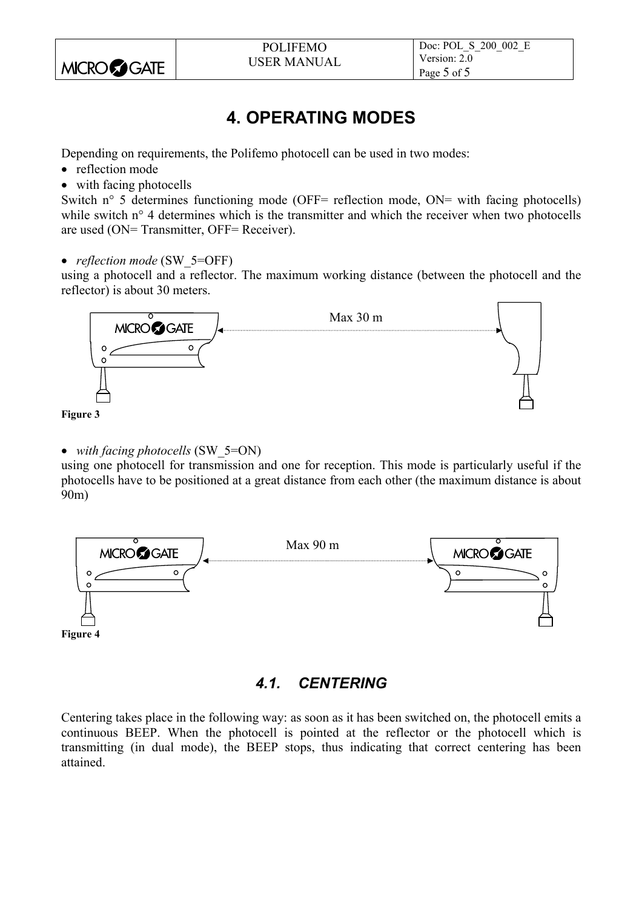

# **4. OPERATING MODES**

Depending on requirements, the Polifemo photocell can be used in two modes:

- reflection mode
- with facing photocells

Switch n° 5 determines functioning mode (OFF= reflection mode, ON= with facing photocells) while switch n° 4 determines which is the transmitter and which the receiver when two photocells are used (ON= Transmitter, OFF= Receiver).

• *reflection mode* (SW 5=OFF)

using a photocell and a reflector. The maximum working distance (between the photocell and the reflector) is about 30 meters.



- **Figure 3**
- *with facing photocells* (SW 5=ON)

using one photocell for transmission and one for reception. This mode is particularly useful if the photocells have to be positioned at a great distance from each other (the maximum distance is about 90m)



## *4.1. CENTERING*

Centering takes place in the following way: as soon as it has been switched on, the photocell emits a continuous BEEP. When the photocell is pointed at the reflector or the photocell which is transmitting (in dual mode), the BEEP stops, thus indicating that correct centering has been attained.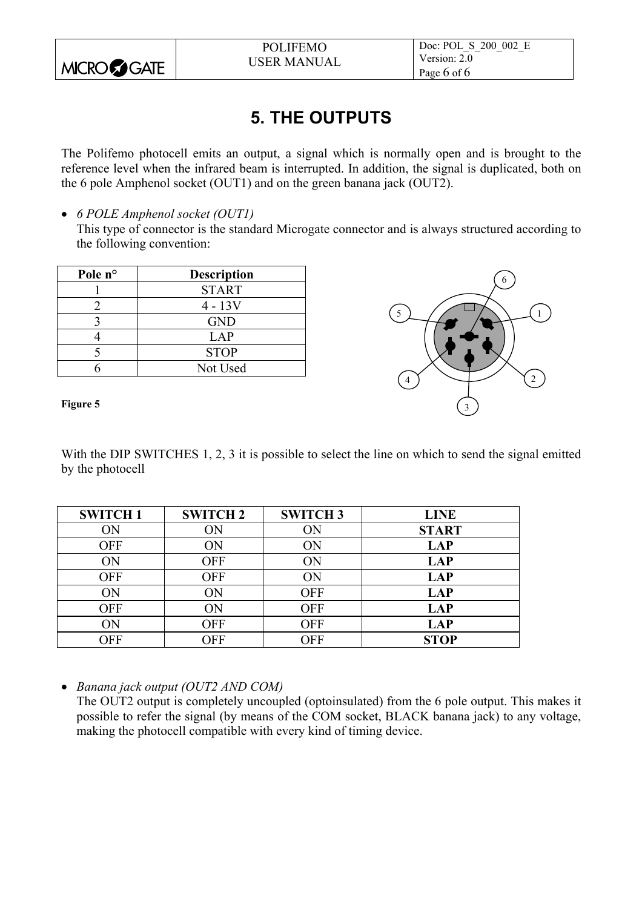

# **5. THE OUTPUTS**

The Polifemo photocell emits an output, a signal which is normally open and is brought to the reference level when the infrared beam is interrupted. In addition, the signal is duplicated, both on the 6 pole Amphenol socket (OUT1) and on the green banana jack (OUT2).

• *6 POLE Amphenol socket (OUT1)*

This type of connector is the standard Microgate connector and is always structured according to the following convention:

| Pole n° | <b>Description</b> |
|---------|--------------------|
|         | <b>START</b>       |
|         | $4 - 13V$          |
|         | <b>GND</b>         |
|         | <b>LAP</b>         |
|         | <b>STOP</b>        |
|         | Not Used           |



#### **Figure 5**

With the DIP SWITCHES 1, 2, 3 it is possible to select the line on which to send the signal emitted by the photocell

| <b>SWITCH1</b> | <b>SWITCH 2</b> | <b>SWITCH 3</b> | <b>LINE</b>  |
|----------------|-----------------|-----------------|--------------|
| ON             | ON              | ON              | <b>START</b> |
| <b>OFF</b>     | ON              | ON              | <b>LAP</b>   |
| ON             | <b>OFF</b>      | ON              | <b>LAP</b>   |
| <b>OFF</b>     | <b>OFF</b>      | ON              | <b>LAP</b>   |
| ON             | ON              | <b>OFF</b>      | <b>LAP</b>   |
| <b>OFF</b>     | ОN              | <b>OFF</b>      | <b>LAP</b>   |
| ÔN             | OFF             | <b>OFF</b>      | <b>LAP</b>   |
| OFF            | OFF             | <b>OFF</b>      | <b>STOP</b>  |

• *Banana jack output (OUT2 AND COM)*

The OUT2 output is completely uncoupled (optoinsulated) from the 6 pole output. This makes it possible to refer the signal (by means of the COM socket, BLACK banana jack) to any voltage, making the photocell compatible with every kind of timing device.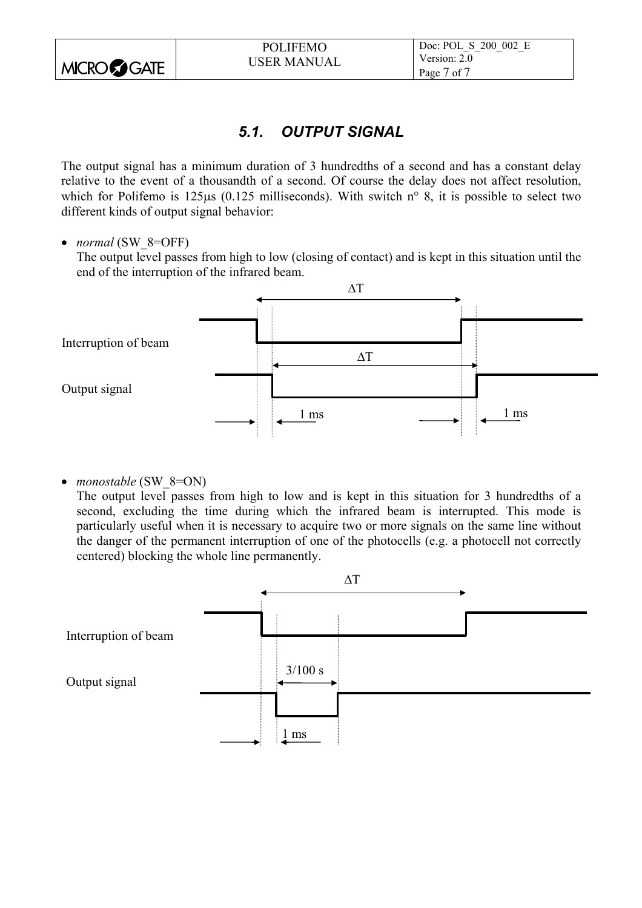|                    | <b>POLIFEMO</b>    | Doc: POL S 200 002 E |
|--------------------|--------------------|----------------------|
|                    | <b>USER MANUAL</b> | Version: 2.0         |
| <b>MICROCOGATE</b> |                    | Page 7 of 7          |

## *5.1. OUTPUT SIGNAL*

The output signal has a minimum duration of 3 hundredths of a second and has a constant delay relative to the event of a thousandth of a second. Of course the delay does not affect resolution, which for Polifemo is 125us (0.125 milliseconds). With switch n° 8, it is possible to select two different kinds of output signal behavior:

• *normal* (SW 8=OFF)

The output level passes from high to low (closing of contact) and is kept in this situation until the end of the interruption of the infrared beam.



• *monostable* (SW 8=ON)

The output level passes from high to low and is kept in this situation for 3 hundredths of a second, excluding the time during which the infrared beam is interrupted. This mode is particularly useful when it is necessary to acquire two or more signals on the same line without the danger of the permanent interruption of one of the photocells (e.g. a photocell not correctly centered) blocking the whole line permanently.

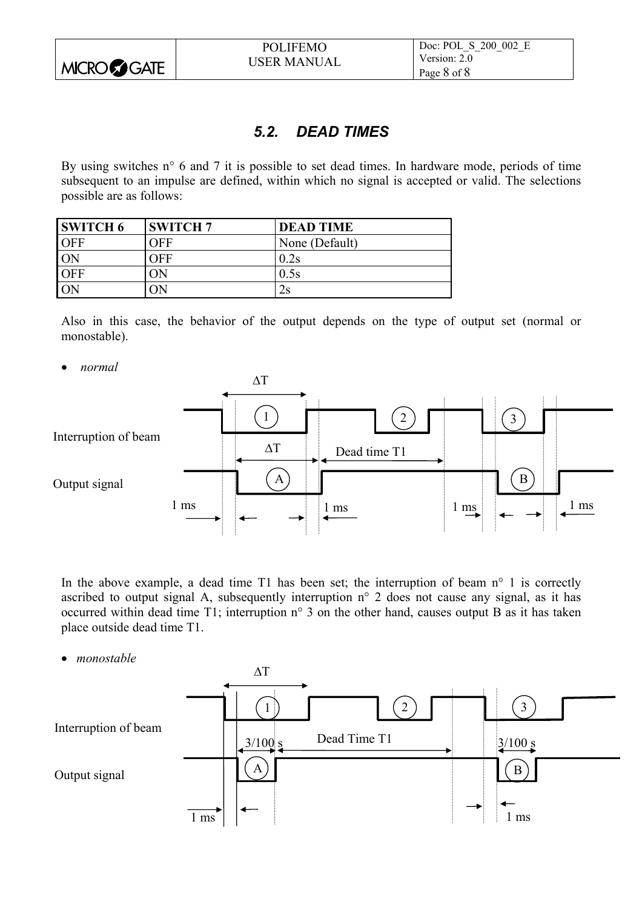

## *5.2. DEAD TIMES*

By using switches n° 6 and 7 it is possible to set dead times. In hardware mode, periods of time subsequent to an impulse are defined, within which no signal is accepted or valid. The selections possible are as follows:

| <b>SWITCH 6</b> | <b>SWITCH 7</b> | <b>DEAD TIME</b> |
|-----------------|-----------------|------------------|
| <b>OFF</b>      | OFF             | None (Default)   |
| ON              | ЭFF             | 0.2s             |
| <b>OFF</b>      | W               | 0.5s             |
| ON              | Ж               | $2\mathrm{s}$    |

Also in this case, the behavior of the output depends on the type of output set (normal or monostable).

• *normal* 



In the above example, a dead time  $T1$  has been set; the interruption of beam  $n^{\circ}$  1 is correctly ascribed to output signal A, subsequently interruption n° 2 does not cause any signal, as it has occurred within dead time T1; interruption n° 3 on the other hand, causes output B as it has taken place outside dead time T1.

• *monostable*

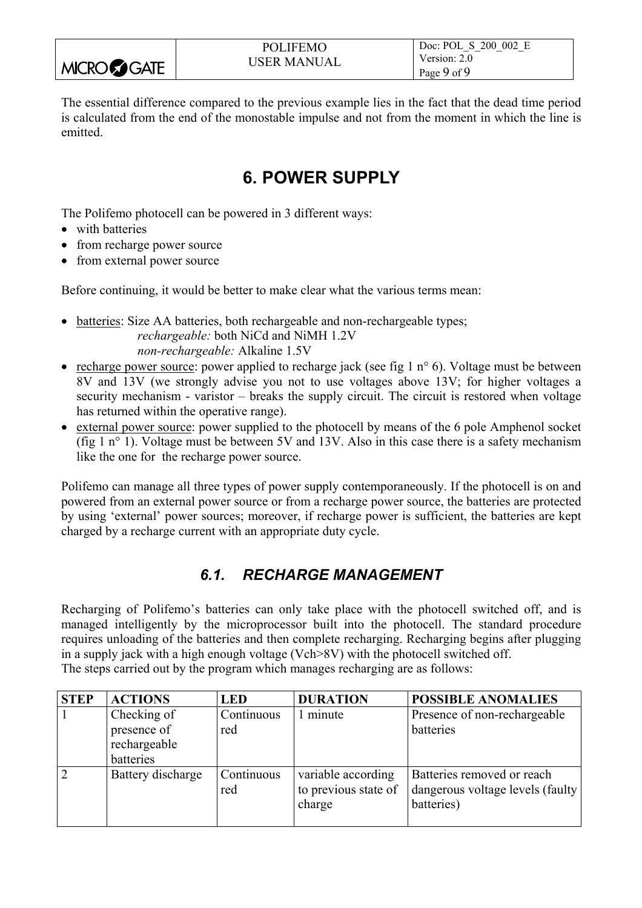|                   | <b>POLIFEMO</b>    | Doc: POL S 200 002 E |
|-------------------|--------------------|----------------------|
| <b>MICRO GATE</b> | <b>USER MANUAL</b> | Version: 2.0         |
|                   |                    | Page 9 of 9          |

The essential difference compared to the previous example lies in the fact that the dead time period is calculated from the end of the monostable impulse and not from the moment in which the line is emitted.

## **6. POWER SUPPLY**

The Polifemo photocell can be powered in 3 different ways:

- with batteries
- from recharge power source
- from external power source

Before continuing, it would be better to make clear what the various terms mean:

- batteries: Size AA batteries, both rechargeable and non-rechargeable types; *rechargeable:* both NiCd and NiMH 1.2V *non-rechargeable:* Alkaline 1.5V
- recharge power source: power applied to recharge jack (see fig 1 n° 6). Voltage must be between 8V and 13V (we strongly advise you not to use voltages above 13V; for higher voltages a security mechanism - varistor – breaks the supply circuit. The circuit is restored when voltage has returned within the operative range).
- external power source: power supplied to the photocell by means of the 6 pole Amphenol socket (fig 1 n° 1). Voltage must be between 5V and 13V. Also in this case there is a safety mechanism like the one for the recharge power source.

Polifemo can manage all three types of power supply contemporaneously. If the photocell is on and powered from an external power source or from a recharge power source, the batteries are protected by using 'external' power sources; moreover, if recharge power is sufficient, the batteries are kept charged by a recharge current with an appropriate duty cycle.

## *6.1. RECHARGE MANAGEMENT*

Recharging of Polifemo's batteries can only take place with the photocell switched off, and is managed intelligently by the microprocessor built into the photocell. The standard procedure requires unloading of the batteries and then complete recharging. Recharging begins after plugging in a supply jack with a high enough voltage (Vch>8V) with the photocell switched off. The steps carried out by the program which manages recharging are as follows:

| <b>STEP</b> | <b>ACTIONS</b>             | <b>LED</b>        | <b>DURATION</b>                                      | <b>POSSIBLE ANOMALIES</b>                                                     |
|-------------|----------------------------|-------------------|------------------------------------------------------|-------------------------------------------------------------------------------|
|             | Checking of<br>presence of | Continuous<br>red | 1 minute                                             | Presence of non-rechargeable<br>batteries                                     |
|             | rechargeable<br>batteries  |                   |                                                      |                                                                               |
|             | Battery discharge          | Continuous<br>red | variable according<br>to previous state of<br>charge | Batteries removed or reach<br>dangerous voltage levels (faulty)<br>batteries) |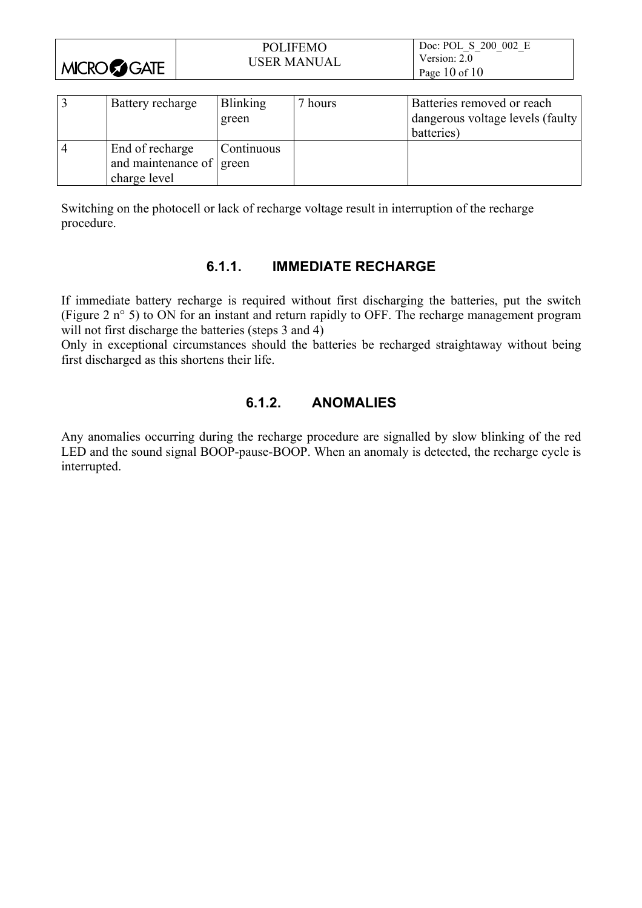|                      | <b>POLIFEMO</b>    | Doc: POL S 200 002 E |
|----------------------|--------------------|----------------------|
|                      | <b>USER MANUAL</b> | Version: 2.0         |
| <b>MICRO</b> SSIGATE |                    | Page $10$ of $10$    |

|   | Battery recharge                                            | <b>Blinking</b><br>green | 7 hours | Batteries removed or reach<br>dangerous voltage levels (faulty)<br>batteries) |
|---|-------------------------------------------------------------|--------------------------|---------|-------------------------------------------------------------------------------|
| 4 | End of recharge<br>and maintenance of green<br>charge level | Continuous               |         |                                                                               |

Switching on the photocell or lack of recharge voltage result in interruption of the recharge procedure.

### **6.1.1. IMMEDIATE RECHARGE**

If immediate battery recharge is required without first discharging the batteries, put the switch (Figure 2 n° 5) to ON for an instant and return rapidly to OFF. The recharge management program will not first discharge the batteries (steps 3 and 4)

Only in exceptional circumstances should the batteries be recharged straightaway without being first discharged as this shortens their life.

### **6.1.2. ANOMALIES**

Any anomalies occurring during the recharge procedure are signalled by slow blinking of the red LED and the sound signal BOOP-pause-BOOP. When an anomaly is detected, the recharge cycle is interrupted.